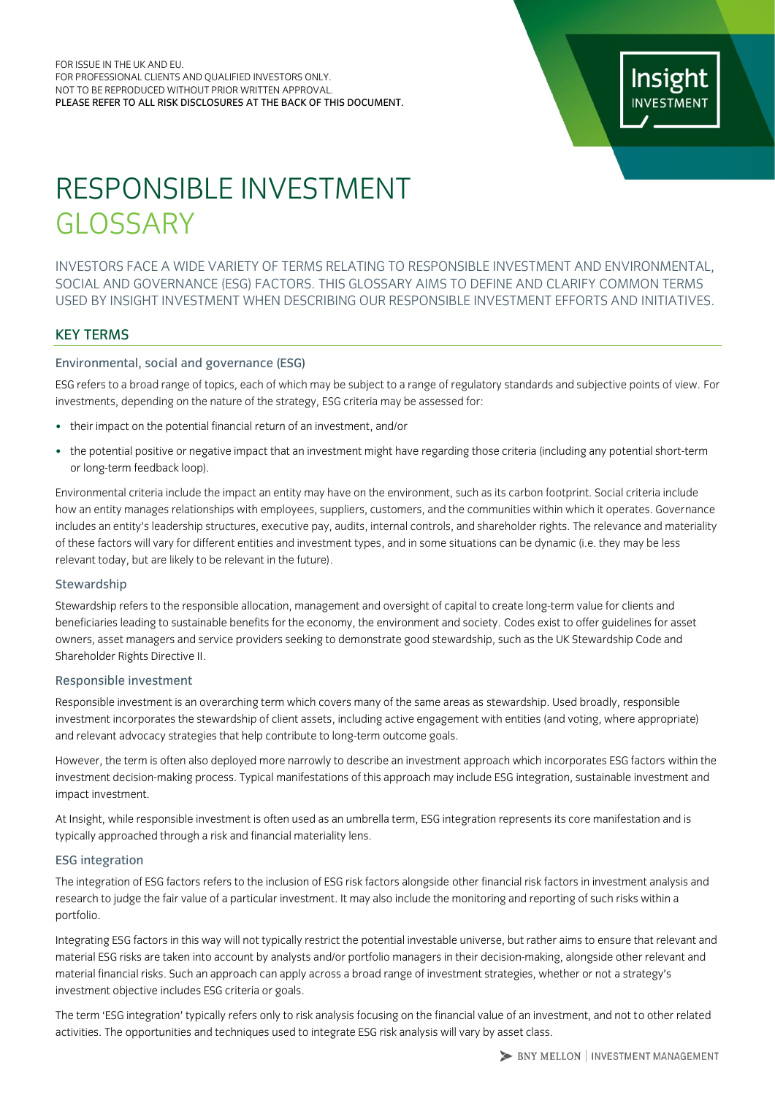# RESPONSIBLE INVESTMENT GLOSSARY

INVESTORS FACE A WIDE VARIETY OF TERMS RELATING TO RESPONSIBLE INVESTMENT AND ENVIRONMENTAL, SOCIAL AND GOVERNANCE (ESG) FACTORS. THIS GLOSSARY AIMS TO DEFINE AND CLARIFY COMMON TERMS USED BY INSIGHT INVESTMENT WHEN DESCRIBING OUR RESPONSIBLE INVESTMENT EFFORTS AND INITIATIVES.

# KEY TERMS

# Environmental, social and governance (ESG)

ESG refers to a broad range of topics, each of which may be subject to a range of regulatory standards and subjective points of view. For investments, depending on the nature of the strategy, ESG criteria may be assessed for:

- their impact on the potential financial return of an investment, and/or
- the potential positive or negative impact that an investment might have regarding those criteria (including any potential short-term or long-term feedback loop).

Environmental criteria include the impact an entity may have on the environment, such as its carbon footprint. Social criteria include how an entity manages relationships with employees, suppliers, customers, and the communities within which it operates. Governance includes an entity's leadership structures, executive pay, audits, internal controls, and shareholder rights. The relevance and materiality of these factors will vary for different entities and investment types, and in some situations can be dynamic (i.e. they may be less relevant today, but are likely to be relevant in the future).

## **Stewardship**

Stewardship refers to the responsible allocation, management and oversight of capital to create long-term value for clients and beneficiaries leading to sustainable benefits for the economy, the environment and society. Codes exist to offer guidelines for asset owners, asset managers and service providers seeking to demonstrate good stewardship, such as the UK Stewardship Code and Shareholder Rights Directive II.

## Responsible investment

Responsible investment is an overarching term which covers many of the same areas as stewardship. Used broadly, responsible investment incorporates the stewardship of client assets, including active engagement with entities (and voting, where appropriate) and relevant advocacy strategies that help contribute to long-term outcome goals.

However, the term is often also deployed more narrowly to describe an investment approach which incorporates ESG factors within the investment decision-making process. Typical manifestations of this approach may include ESG integration, sustainable investment and impact investment.

At Insight, while responsible investment is often used as an umbrella term, ESG integration represents its core manifestation and is typically approached through a risk and financial materiality lens.

## ESG integration

The integration of ESG factors refers to the inclusion of ESG risk factors alongside other financial risk factors in investment analysis and research to judge the fair value of a particular investment. It may also include the monitoring and reporting of such risks within a portfolio.

Integrating ESG factors in this way will not typically restrict the potential investable universe, but rather aims to ensure that relevant and material ESG risks are taken into account by analysts and/or portfolio managers in their decision-making, alongside other relevant and material financial risks. Such an approach can apply across a broad range of investment strategies, whether or not a strategy's investment objective includes ESG criteria or goals.

The term 'ESG integration' typically refers only to risk analysis focusing on the financial value of an investment, and not to other related activities. The opportunities and techniques used to integrate ESG risk analysis will vary by asset class.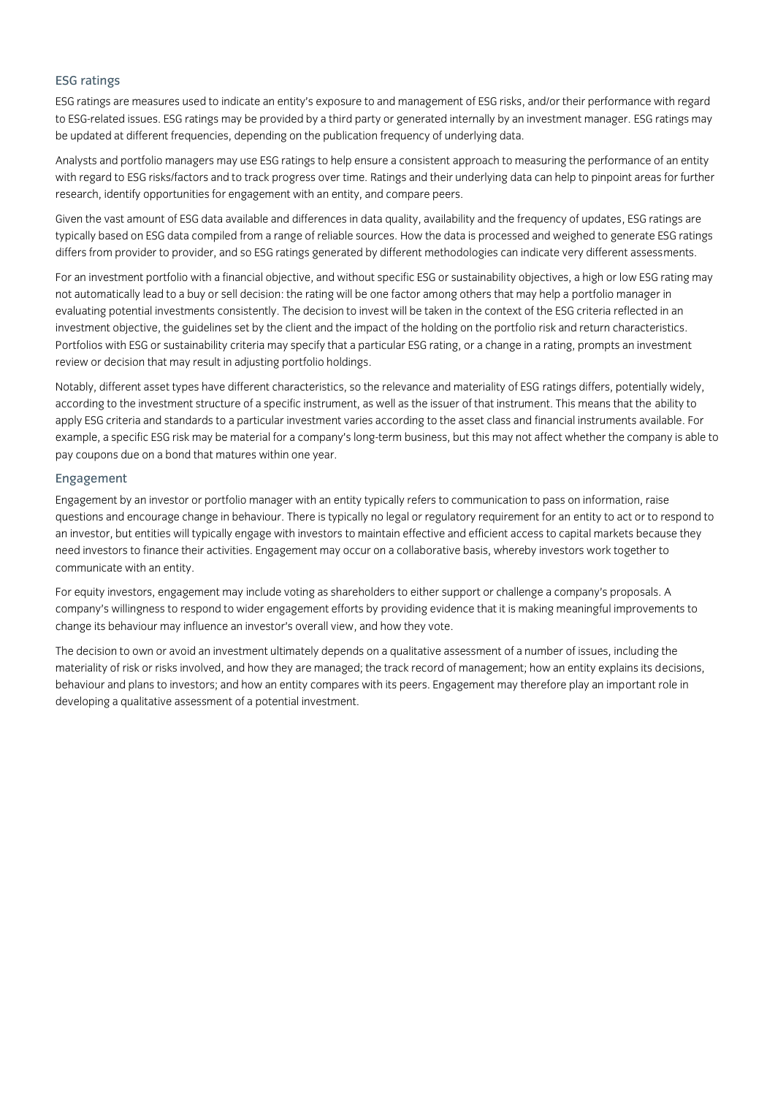# ESG ratings

ESG ratings are measures used to indicate an entity's exposure to and management of ESG risks, and/or their performance with regard to ESG-related issues. ESG ratings may be provided by a third party or generated internally by an investment manager. ESG ratings may be updated at different frequencies, depending on the publication frequency of underlying data.

Analysts and portfolio managers may use ESG ratings to help ensure a consistent approach to measuring the performance of an entity with regard to ESG risks/factors and to track progress over time. Ratings and their underlying data can help to pinpoint areas for further research, identify opportunities for engagement with an entity, and compare peers.

Given the vast amount of ESG data available and differences in data quality, availability and the frequency of updates, ESG ratings are typically based on ESG data compiled from a range of reliable sources. How the data is processed and weighed to generate ESG ratings differs from provider to provider, and so ESG ratings generated by different methodologies can indicate very different assessments.

For an investment portfolio with a financial objective, and without specific ESG or sustainability objectives, a high or low ESG rating may not automatically lead to a buy or sell decision: the rating will be one factor among others that may help a portfolio manager in evaluating potential investments consistently. The decision to invest will be taken in the context of the ESG criteria reflected in an investment objective, the guidelines set by the client and the impact of the holding on the portfolio risk and return characteristics. Portfolios with ESG or sustainability criteria may specify that a particular ESG rating, or a change in a rating, prompts an investment review or decision that may result in adjusting portfolio holdings.

Notably, different asset types have different characteristics, so the relevance and materiality of ESG ratings differs, potentially widely, according to the investment structure of a specific instrument, as well as the issuer of that instrument. This means that the ability to apply ESG criteria and standards to a particular investment varies according to the asset class and financial instruments available. For example, a specific ESG risk may be material for a company's long-term business, but this may not affect whether the company is able to pay coupons due on a bond that matures within one year.

## Engagement

Engagement by an investor or portfolio manager with an entity typically refers to communication to pass on information, raise questions and encourage change in behaviour. There is typically no legal or regulatory requirement for an entity to act or to respond to an investor, but entities will typically engage with investors to maintain effective and efficient access to capital markets because they need investors to finance their activities. Engagement may occur on a collaborative basis, whereby investors work together to communicate with an entity.

For equity investors, engagement may include voting as shareholders to either support or challenge a company's proposals. A company's willingness to respond to wider engagement efforts by providing evidence that it is making meaningful improvements to change its behaviour may influence an investor's overall view, and how they vote.

The decision to own or avoid an investment ultimately depends on a qualitative assessment of a number of issues, including the materiality of risk or risks involved, and how they are managed; the track record of management; how an entity explains its decisions, behaviour and plans to investors; and how an entity compares with its peers. Engagement may therefore play an important role in developing a qualitative assessment of a potential investment.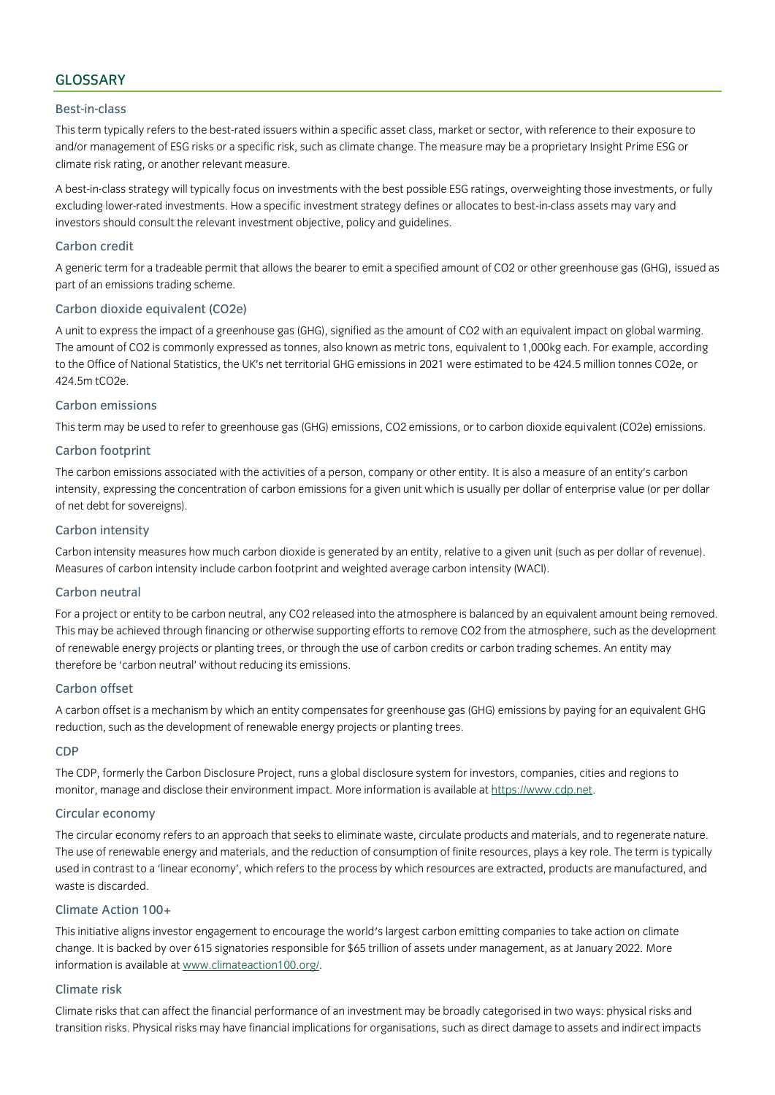# GLOSSARY

## Best-in-class

This term typically refers to the best-rated issuers within a specific asset class, market or sector, with reference to their exposure to and/or management of ESG risks or a specific risk, such as climate change. The measure may be a proprietary Insight Prime ESG or climate risk rating, or another relevant measure.

A best-in-class strategy will typically focus on investments with the best possible ESG ratings, overweighting those investments, or fully excluding lower-rated investments. How a specific investment strategy defines or allocates to best-in-class assets may vary and investors should consult the relevant investment objective, policy and guidelines.

## Carbon credit

A generic term for a tradeable permit that allows the bearer to emit a specified amount of CO2 or other greenhouse gas (GHG), issued as part of an emissions trading scheme.

## Carbon dioxide equivalent (CO2e)

A unit to express the impact of a greenhouse gas (GHG), signified as the amount of CO2 with an equivalent impact on global warming. The amount of CO2 is commonly expressed as tonnes, also known as metric tons, equivalent to 1,000kg each. For example, according to the Office of National Statistics, the UK's net territorial GHG emissions in 2021 were estimated to be 424.5 million tonnes CO2e, or 424.5m tCO2e.

## Carbon emissions

This term may be used to refer to greenhouse gas (GHG) emissions, CO2 emissions, or to carbon dioxide equivalent (CO2e) emissions.

## Carbon footprint

The carbon emissions associated with the activities of a person, company or other entity. It is also a measure of an entity's carbon intensity, expressing the concentration of carbon emissions for a given unit which is usually per dollar of enterprise value (or per dollar of net debt for sovereigns).

## Carbon intensity

Carbon intensity measures how much carbon dioxide is generated by an entity, relative to a given unit (such as per dollar of revenue). Measures of carbon intensity include carbon footprint and weighted average carbon intensity (WACI).

## Carbon neutral

For a project or entity to be carbon neutral, any CO2 released into the atmosphere is balanced by an equivalent amount being removed. This may be achieved through financing or otherwise supporting efforts to remove CO2 from the atmosphere, such as the development of renewable energy projects or planting trees, or through the use of carbon credits or carbon trading schemes. An entity may therefore be 'carbon neutral' without reducing its emissions.

#### Carbon offset

A carbon offset is a mechanism by which an entity compensates for greenhouse gas (GHG) emissions by paying for an equivalent GHG reduction, such as the development of renewable energy projects or planting trees.

#### CDP

The CDP, formerly the Carbon Disclosure Project, runs a global disclosure system for investors, companies, cities and regions to monitor, manage and disclose their environment impact. More information is available a[t https://www.cdp.net.](https://www.cdp.net/)

### Circular economy

The circular economy refers to an approach that seeks to eliminate waste, circulate products and materials, and to regenerate nature. The use of renewable energy and materials, and the reduction of consumption of finite resources, plays a key role. The term is typically used in contrast to a 'linear economy', which refers to the process by which resources are extracted, products are manufactured, and waste is discarded.

## Climate Action 100+

This initiative aligns investor engagement to encourage the world's largest carbon emitting companies to take action on climate change. It is backed by over 615 signatories responsible for \$65 trillion of assets under management, as at January 2022. More information is available a[t www.climateaction100.org/.](http://www.climateaction100.org/)

## Climate risk

Climate risks that can affect the financial performance of an investment may be broadly categorised in two ways: physical risks and transition risks. Physical risks may have financial implications for organisations, such as direct damage to assets and indirect impacts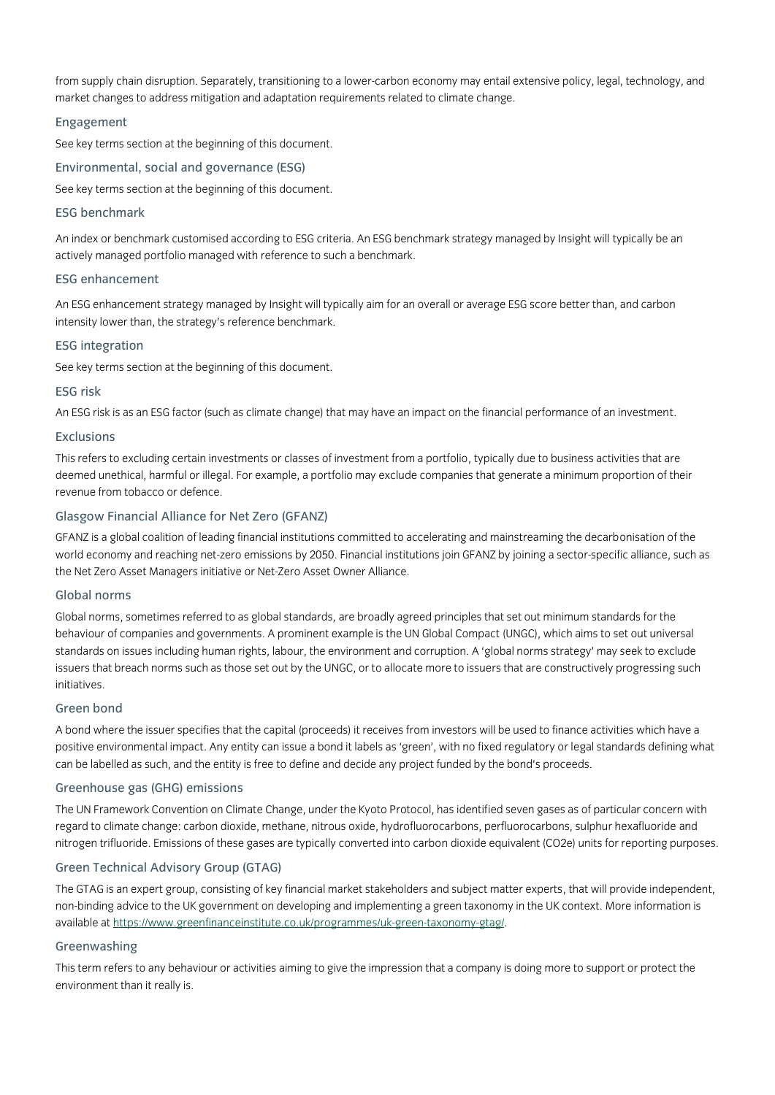from supply chain disruption. Separately, transitioning to a lower-carbon economy may entail extensive policy, legal, technology, and market changes to address mitigation and adaptation requirements related to climate change.

## Engagement

See key terms section at the beginning of this document.

Environmental, social and governance (ESG)

See key terms section at the beginning of this document.

## ESG benchmark

An index or benchmark customised according to ESG criteria. An ESG benchmark strategy managed by Insight will typically be an actively managed portfolio managed with reference to such a benchmark.

#### ESG enhancement

An ESG enhancement strategy managed by Insight will typically aim for an overall or average ESG score better than, and carbon intensity lower than, the strategy's reference benchmark.

#### ESG integration

See key terms section at the beginning of this document.

## ESG risk

An ESG risk is as an ESG factor (such as climate change) that may have an impact on the financial performance of an investment.

#### Exclusions

This refers to excluding certain investments or classes of investment from a portfolio, typically due to business activities that are deemed unethical, harmful or illegal. For example, a portfolio may exclude companies that generate a minimum proportion of their revenue from tobacco or defence.

## Glasgow Financial Alliance for Net Zero (GFANZ)

GFANZ is a global coalition of leading financial institutions committed to accelerating and mainstreaming the decarbonisation of the world economy and reaching net-zero emissions by 2050. Financial institutions join GFANZ by joining a sector-specific alliance, such as the Net Zero Asset Managers initiative or Net-Zero Asset Owner Alliance.

## Global norms

Global norms, sometimes referred to as global standards, are broadly agreed principles that set out minimum standards for the behaviour of companies and governments. A prominent example is the UN Global Compact (UNGC), which aims to set out universal standards on issues including human rights, labour, the environment and corruption. A 'global norms strategy' may seek to exclude issuers that breach norms such as those set out by the UNGC, or to allocate more to issuers that are constructively progressing such initiatives.

#### Green bond

A bond where the issuer specifies that the capital (proceeds) it receives from investors will be used to finance activities which have a positive environmental impact. Any entity can issue a bond it labels as 'green', with no fixed regulatory or legal standards defining what can be labelled as such, and the entity is free to define and decide any project funded by the bond's proceeds.

#### Greenhouse gas (GHG) emissions

The UN Framework Convention on Climate Change, under the Kyoto Protocol, has identified seven gases as of particular concern with regard to climate change: carbon dioxide, methane, nitrous oxide, hydrofluorocarbons, perfluorocarbons, sulphur hexafluoride and nitrogen trifluoride. Emissions of these gases are typically converted into carbon dioxide equivalent (CO2e) units for reporting purposes.

## Green Technical Advisory Group (GTAG)

The GTAG is an expert group, consisting of key financial market stakeholders and subject matter experts, that will provide independent, non-binding advice to the UK government on developing and implementing a green taxonomy in the UK context. More information is available at [https://www.greenfinanceinstitute.co.uk/programmes/uk-green-taxonomy-gtag/.](https://www.greenfinanceinstitute.co.uk/programmes/uk-green-taxonomy-gtag/)

# Greenwashing

This term refers to any behaviour or activities aiming to give the impression that a company is doing more to support or protect the environment than it really is.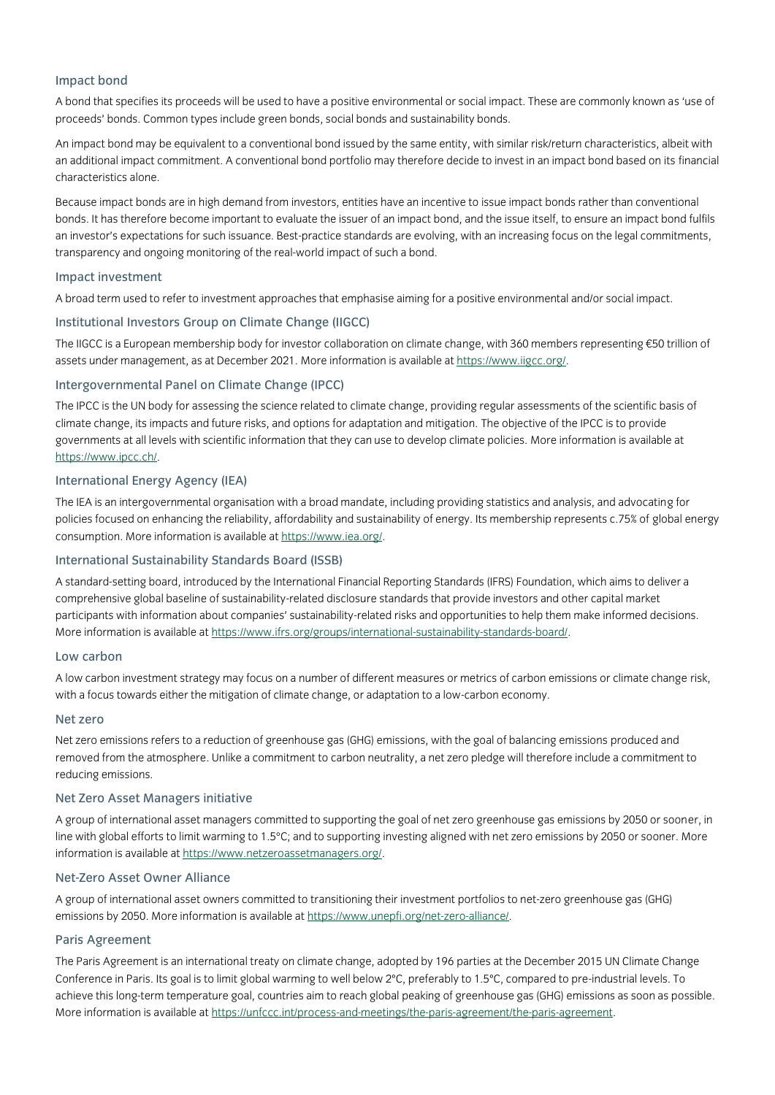# Impact bond

A bond that specifies its proceeds will be used to have a positive environmental or social impact. These are commonly known as 'use of proceeds' bonds. Common types include green bonds, social bonds and sustainability bonds.

An impact bond may be equivalent to a conventional bond issued by the same entity, with similar risk/return characteristics, albeit with an additional impact commitment. A conventional bond portfolio may therefore decide to invest in an impact bond based on its financial characteristics alone.

Because impact bonds are in high demand from investors, entities have an incentive to issue impact bonds rather than conventional bonds. It has therefore become important to evaluate the issuer of an impact bond, and the issue itself, to ensure an impact bond fulfils an investor's expectations for such issuance. Best-practice standards are evolving, with an increasing focus on the legal commitments, transparency and ongoing monitoring of the real-world impact of such a bond.

## Impact investment

A broad term used to refer to investment approaches that emphasise aiming for a positive environmental and/or social impact.

## Institutional Investors Group on Climate Change (IIGCC)

The IIGCC is a European membership body for investor collaboration on climate change, with 360 members representing €50 trillion of assets under management, as at December 2021. More information is available at [https://www.iigcc.org/.](https://www.iigcc.org/)

## Intergovernmental Panel on Climate Change (IPCC)

The IPCC is the UN body for assessing the science related to climate change, providing regular assessments of the scientific basis of climate change, its impacts and future risks, and options for adaptation and mitigation. The objective of the IPCC is to provide governments at all levels with scientific information that they can use to develop climate policies. More information is available at [https://www.ipcc.ch/.](https://www.ipcc.ch/)

## International Energy Agency (IEA)

The IEA is an intergovernmental organisation with a broad mandate, including providing statistics and analysis, and advocating for policies focused on enhancing the reliability, affordability and sustainability of energy. Its membership represents c.75% of global energy consumption. More information is available a[t https://www.iea.org/.](https://www.iea.org/)

## International Sustainability Standards Board (ISSB)

A standard-setting board, introduced by the International Financial Reporting Standards (IFRS) Foundation, which aims to deliver a comprehensive global baseline of sustainability-related disclosure standards that provide investors and other capital market participants with information about companies' sustainability-related risks and opportunities to help them make informed decisions. More information is available a[t https://www.ifrs.org/groups/international-sustainability-standards-board/.](https://www.ifrs.org/groups/international-sustainability-standards-board/)

#### Low carbon

A low carbon investment strategy may focus on a number of different measures or metrics of carbon emissions or climate change risk, with a focus towards either the mitigation of climate change, or adaptation to a low-carbon economy.

#### Net zero

Net zero emissions refers to a reduction of greenhouse gas (GHG) emissions, with the goal of balancing emissions produced and removed from the atmosphere. Unlike a commitment to carbon neutrality, a net zero pledge will therefore include a commitment to reducing emissions.

#### Net Zero Asset Managers initiative

A group of international asset managers committed to supporting the goal of net zero greenhouse gas emissions by 2050 or sooner, in line with global efforts to limit warming to 1.5°C; and to supporting investing aligned with net zero emissions by 2050 or sooner. More information is available a[t https://www.netzeroassetmanagers.org/.](https://www.netzeroassetmanagers.org/)

## Net-Zero Asset Owner Alliance

A group of international asset owners committed to transitioning their investment portfolios to net-zero greenhouse gas (GHG) emissions by 2050. More information is available a[t https://www.unepfi.org/net-zero-alliance/.](https://www.unepfi.org/net-zero-alliance/)

## Paris Agreement

The Paris Agreement is an international treaty on climate change, adopted by 196 parties at the December 2015 UN Climate Change Conference in Paris. Its goal is to limit global warming to well below 2ºC, preferably to 1.5ºC, compared to pre-industrial levels. To achieve this long-term temperature goal, countries aim to reach global peaking of greenhouse gas (GHG) emissions as soon as possible. More information is available a[t https://unfccc.int/process-and-meetings/the-paris-agreement/the-paris-agreement.](https://unfccc.int/process-and-meetings/the-paris-agreement/the-paris-agreement)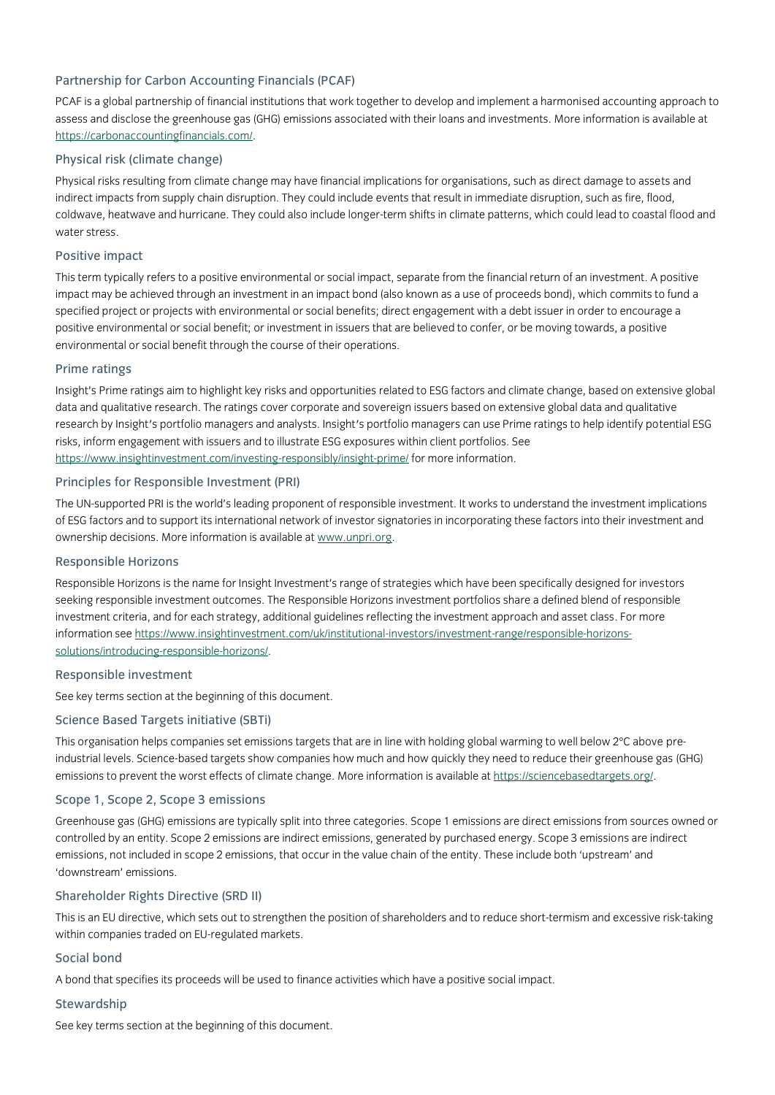# Partnership for Carbon Accounting Financials (PCAF)

PCAF is a global partnership of financial institutions that work together to develop and implement a harmonised accounting approach to assess and disclose the greenhouse gas (GHG) emissions associated with their loans and investments. More information is available at [https://carbonaccountingfinancials.com/.](https://carbonaccountingfinancials.com/)

## Physical risk (climate change)

Physical risks resulting from climate change may have financial implications for organisations, such as direct damage to assets and indirect impacts from supply chain disruption. They could include events that result in immediate disruption, such as fire, flood, coldwave, heatwave and hurricane. They could also include longer-term shifts in climate patterns, which could lead to coastal flood and water stress.

## Positive impact

This term typically refers to a positive environmental or social impact, separate from the financial return of an investment. A positive impact may be achieved through an investment in an impact bond (also known as a use of proceeds bond), which commits to fund a specified project or projects with environmental or social benefits; direct engagement with a debt issuer in order to encourage a positive environmental or social benefit; or investment in issuers that are believed to confer, or be moving towards, a positive environmental or social benefit through the course of their operations.

## Prime ratings

Insight's Prime ratings aim to highlight key risks and opportunities related to ESG factors and climate change, based on extensive global data and qualitative research. The ratings cover corporate and sovereign issuers based on extensive global data and qualitative research by Insight's portfolio managers and analysts. Insight's portfolio managers can use Prime ratings to help identify potential ESG risks, inform engagement with issuers and to illustrate ESG exposures within client portfolios. See <https://www.insightinvestment.com/investing-responsibly/insight-prime/> for more information.

## Principles for Responsible Investment (PRI)

The UN-supported PRI is the world's leading proponent of responsible investment. It works to understand the investment implications of ESG factors and to support its international network of investor signatories in incorporating these factors into their investment and ownership decisions. More information is available at [www.unpri.org.](http://www.unpri.org/about)

## Responsible Horizons

Responsible Horizons is the name for Insight Investment's range of strategies which have been specifically designed for investors seeking responsible investment outcomes. The Responsible Horizons investment portfolios share a defined blend of responsible investment criteria, and for each strategy, additional guidelines reflecting the investment approach and asset class. For more information se[e https://www.insightinvestment.com/uk/institutional-investors/investment-range/responsible-horizons](https://www.insightinvestment.com/uk/institutional-investors/investment-range/responsible-horizons-solutions/introducing-responsible-horizons/)[solutions/introducing-responsible-horizons/.](https://www.insightinvestment.com/uk/institutional-investors/investment-range/responsible-horizons-solutions/introducing-responsible-horizons/)

#### Responsible investment

See key terms section at the beginning of this document.

## Science Based Targets initiative (SBTi)

This organisation helps companies set emissions targets that are in line with holding global warming to well below 2°C above preindustrial levels. Science-based targets show companies how much and how quickly they need to reduce their greenhouse gas (GHG) emissions to prevent the worst effects of climate change. More information is available a[t https://sciencebasedtargets.org/.](https://sciencebasedtargets.org/)

#### Scope 1, Scope 2, Scope 3 emissions

Greenhouse gas (GHG) emissions are typically split into three categories. Scope 1 emissions are direct emissions from sources owned or controlled by an entity. Scope 2 emissions are indirect emissions, generated by purchased energy. Scope 3 emissions are indirect emissions, not included in scope 2 emissions, that occur in the value chain of the entity. These include both 'upstream' and 'downstream' emissions.

#### Shareholder Rights Directive (SRD II)

This is an EU directive, which sets out to strengthen the position of shareholders and to reduce short-termism and excessive risk-taking within companies traded on EU-regulated markets.

#### Social bond

A bond that specifies its proceeds will be used to finance activities which have a positive social impact.

#### **Stewardship**

See key terms section at the beginning of this document.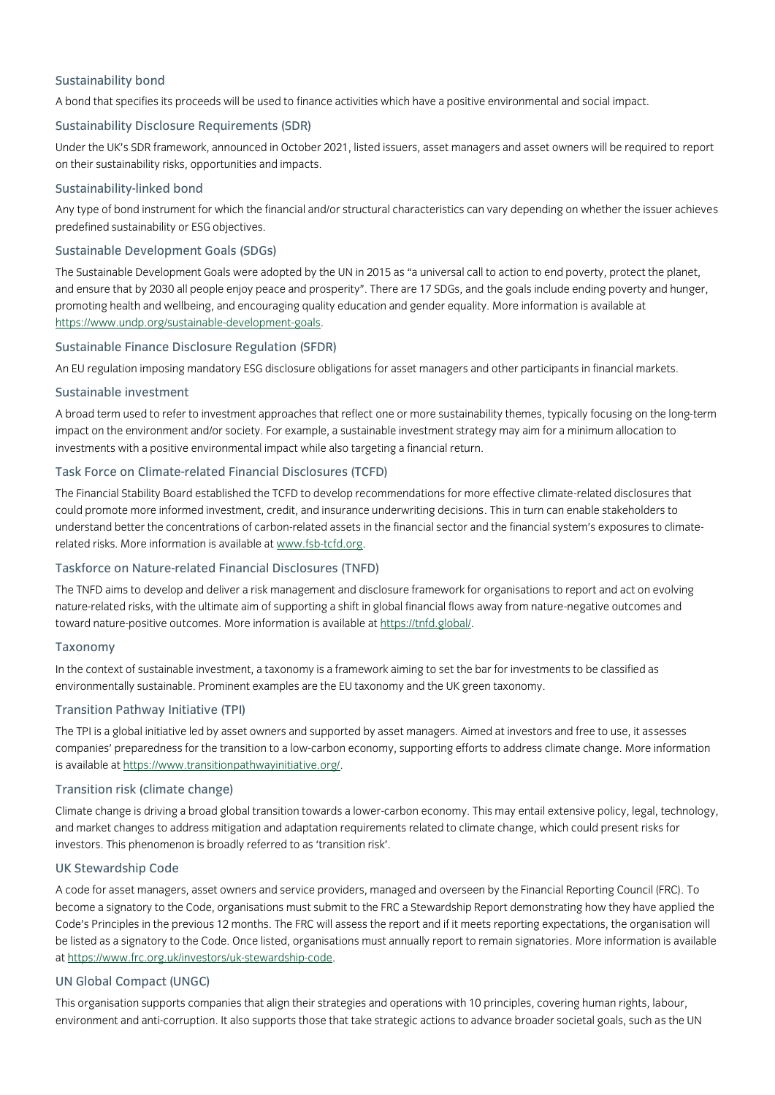# Sustainability bond

A bond that specifies its proceeds will be used to finance activities which have a positive environmental and social impact.

## Sustainability Disclosure Requirements (SDR)

Under the UK's SDR framework, announced in October 2021, listed issuers, asset managers and asset owners will be required to report on their sustainability risks, opportunities and impacts.

## Sustainability-linked bond

Any type of bond instrument for which the financial and/or structural characteristics can vary depending on whether the issuer achieves predefined sustainability or ESG objectives.

#### Sustainable Development Goals (SDGs)

The Sustainable Development Goals were adopted by the UN in 2015 as "a universal call to action to end poverty, protect the planet, and ensure that by 2030 all people enjoy peace and prosperity". There are 17 SDGs, and the goals include ending poverty and hunger, promoting health and wellbeing, and encouraging quality education and gender equality. More information is available at [https://www.undp.org/sustainable-development-goals.](https://www.undp.org/sustainable-development-goals)

## Sustainable Finance Disclosure Regulation (SFDR)

An EU regulation imposing mandatory ESG disclosure obligations for asset managers and other participants in financial markets.

## Sustainable investment

A broad term used to refer to investment approaches that reflect one or more sustainability themes, typically focusing on the long-term impact on the environment and/or society. For example, a sustainable investment strategy may aim for a minimum allocation to investments with a positive environmental impact while also targeting a financial return.

## Task Force on Climate-related Financial Disclosures (TCFD)

The Financial Stability Board established the TCFD to develop recommendations for more effective climate-related disclosures that could promote more informed investment, credit, and insurance underwriting decisions. This in turn can enable stakeholders to understand better the concentrations of carbon-related assets in the financial sector and the financial system's exposures to climaterelated risks. More information is available a[t www.fsb-tcfd.org.](http://www.fsb-tcfd.org/)

## Taskforce on Nature-related Financial Disclosures (TNFD)

The TNFD aims to develop and deliver a risk management and disclosure framework for organisations to report and act on evolving nature-related risks, with the ultimate aim of supporting a shift in global financial flows away from nature-negative outcomes and toward nature-positive outcomes. More information is available a[t https://tnfd.global/.](https://tnfd.global/)

## Taxonomy

In the context of sustainable investment, a taxonomy is a framework aiming to set the bar for investments to be classified as environmentally sustainable. Prominent examples are the EU taxonomy and the UK green taxonomy.

## Transition Pathway Initiative (TPI)

The TPI is a global initiative led by asset owners and supported by asset managers. Aimed at investors and free to use, it assesses companies' preparedness for the transition to a low-carbon economy, supporting efforts to address climate change. More information is available a[t https://www.transitionpathwayinitiative.org/.](https://www.transitionpathwayinitiative.org/)

## Transition risk (climate change)

Climate change is driving a broad global transition towards a lower-carbon economy. This may entail extensive policy, legal, technology, and market changes to address mitigation and adaptation requirements related to climate change, which could present risks for investors. This phenomenon is broadly referred to as 'transition risk'.

## UK Stewardship Code

A code for asset managers, asset owners and service providers, managed and overseen by the Financial Reporting Council (FRC). To become a signatory to the Code, organisations must submit to the FRC a Stewardship Report demonstrating how they have applied the Code's Principles in the previous 12 months. The FRC will assess the report and if it meets reporting expectations, the organisation will be listed as a signatory to the Code. Once listed, organisations must annually report to remain signatories. More information is available at [https://www.frc.org.uk/investors/uk-stewardship-code.](https://www.frc.org.uk/investors/uk-stewardship-code)

## UN Global Compact (UNGC)

This organisation supports companies that align their strategies and operations with 10 principles, covering human rights, labour, environment and anti-corruption. It also supports those that take strategic actions to advance broader societal goals, such as the UN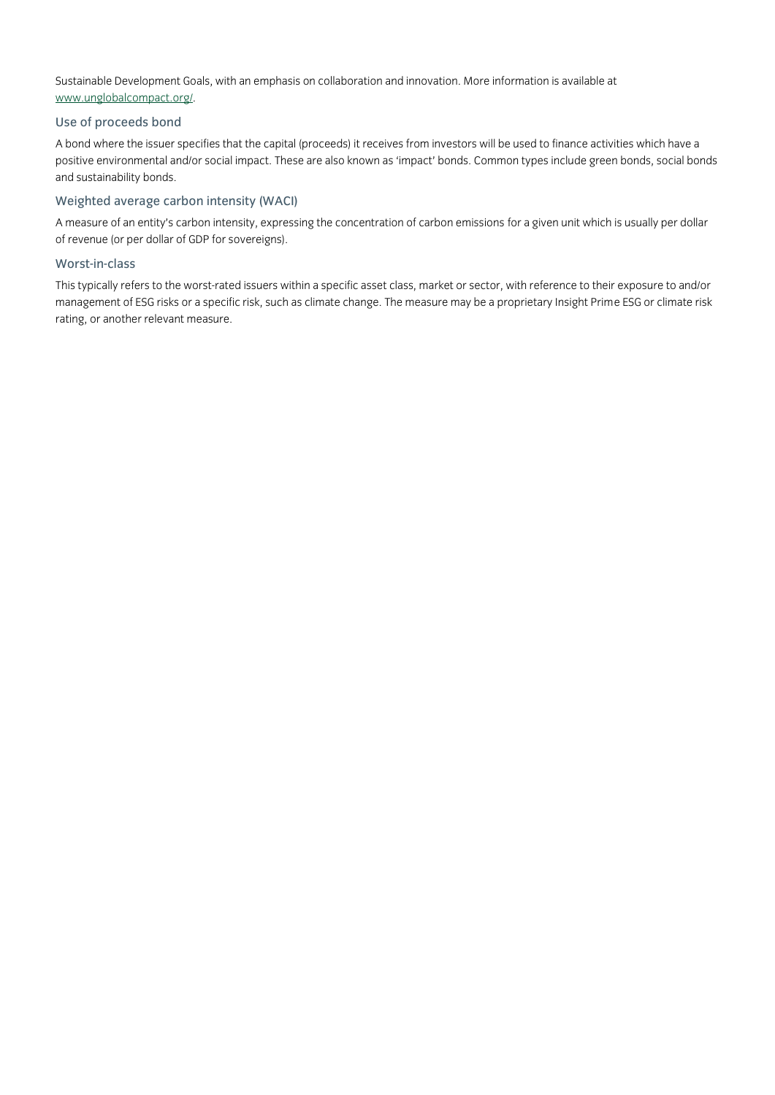Sustainable Development Goals, with an emphasis on collaboration and innovation. More information is available at [www.unglobalcompact.org/](http://www.unglobalcompact.org/).

# Use of proceeds bond

A bond where the issuer specifies that the capital (proceeds) it receives from investors will be used to finance activities which have a positive environmental and/or social impact. These are also known as 'impact' bonds. Common types include green bonds, social bonds and sustainability bonds.

## Weighted average carbon intensity (WACI)

A measure of an entity's carbon intensity, expressing the concentration of carbon emissions for a given unit which is usually per dollar of revenue (or per dollar of GDP for sovereigns).

## Worst-in-class

This typically refers to the worst-rated issuers within a specific asset class, market or sector, with reference to their exposure to and/or management of ESG risks or a specific risk, such as climate change. The measure may be a proprietary Insight Prime ESG or climate risk rating, or another relevant measure.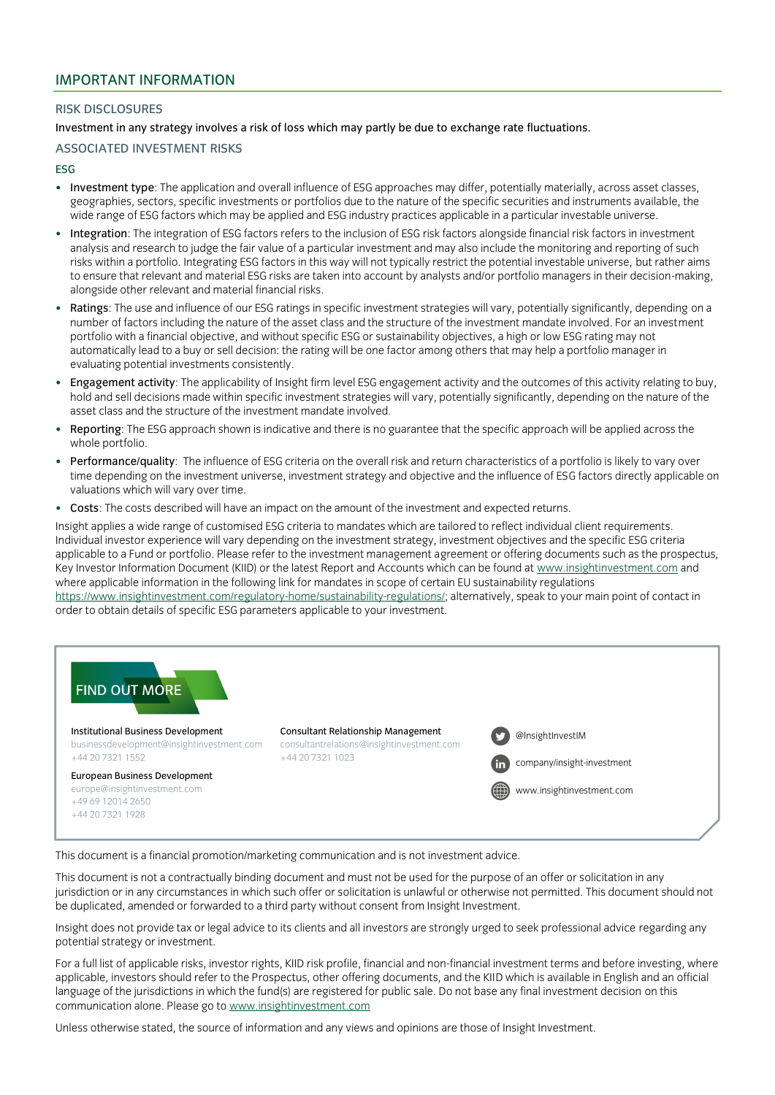#### RISK DISCLOSURES

Investment in any strategy involves a risk of loss which may partly be due to exchange rate fluctuations.

## ASSOCIATED INVESTMENT RISKS

#### ESG

- Investment type: The application and overall influence of ESG approaches may differ, potentially materially, across asset classes, geographies, sectors, specific investments or portfolios due to the nature of the specific securities and instruments available, the wide range of ESG factors which may be applied and ESG industry practices applicable in a particular investable universe.
- Integration: The integration of ESG factors refers to the inclusion of ESG risk factors alongside financial risk factors in investment analysis and research to judge the fair value of a particular investment and may also include the monitoring and reporting of such risks within a portfolio. Integrating ESG factors in this way will not typically restrict the potential investable universe, but rather aims to ensure that relevant and material ESG risks are taken into account by analysts and/or portfolio managers in their decision-making, alongside other relevant and material financial risks.
- Ratings: The use and influence of our ESG ratings in specific investment strategies will vary, potentially significantly, depending on a number of factors including the nature of the asset class and the structure of the investment mandate involved. For an investment portfolio with a financial objective, and without specific ESG or sustainability objectives, a high or low ESG rating may not automatically lead to a buy or sell decision: the rating will be one factor among others that may help a portfolio manager in evaluating potential investments consistently.
- Engagement activity: The applicability of Insight firm level ESG engagement activity and the outcomes of this activity relating to buy, hold and sell decisions made within specific investment strategies will vary, potentially significantly, depending on the nature of the asset class and the structure of the investment mandate involved.
- Reporting: The ESG approach shown is indicative and there is no guarantee that the specific approach will be applied across the whole portfolio.
- Performance/quality: The influence of ESG criteria on the overall risk and return characteristics of a portfolio is likely to vary over time depending on the investment universe, investment strategy and objective and the influence of ESG factors directly applicable on valuations which will vary over time.
- Costs: The costs described will have an impact on the amount of the investment and expected returns.

Insight applies a wide range of customised ESG criteria to mandates which are tailored to reflect individual client requirements. Individual investor experience will vary depending on the investment strategy, investment objectives and the specific ESG criteria applicable to a Fund or portfolio. Please refer to the investment management agreement or offering documents such as the prospectus, Key Investor Information Document (KIID) or the latest Report and Accounts which can be found a[t www.insightinvestment.com](http://www.insightinvestment.com/) and where applicable information in the following link for mandates in scope of certain EU sustainability regulations [https://www.insightinvestment.com/regulatory-home/sustainability-regulations/;](https://www.insightinvestment.com/regulatory-home/sustainability-regulations/) alternatively, speak to your main point of contact in order to obtain details of specific ESG parameters applicable to your investment.



This document is a financial promotion/marketing communication and is not investment advice.

This document is not a contractually binding document and must not be used for the purpose of an offer or solicitation in any jurisdiction or in any circumstances in which such offer or solicitation is unlawful or otherwise not permitted. This document should not be duplicated, amended or forwarded to a third party without consent from Insight Investment.

Insight does not provide tax or legal advice to its clients and all investors are strongly urged to seek professional advice regarding any potential strategy or investment.

For a full list of applicable risks, investor rights, KIID risk profile, financial and non-financial investment terms and before investing, where applicable, investors should refer to the Prospectus, other offering documents, and the KIID which is available in English and an official language of the jurisdictions in which the fund(s) are registered for public sale. Do not base any final investment decision on this communication alone. Please go t[o www.insightinvestment.com](http://www.insightinvestment.com/)

Unless otherwise stated, the source of information and any views and opinions are those of Insight Investment.